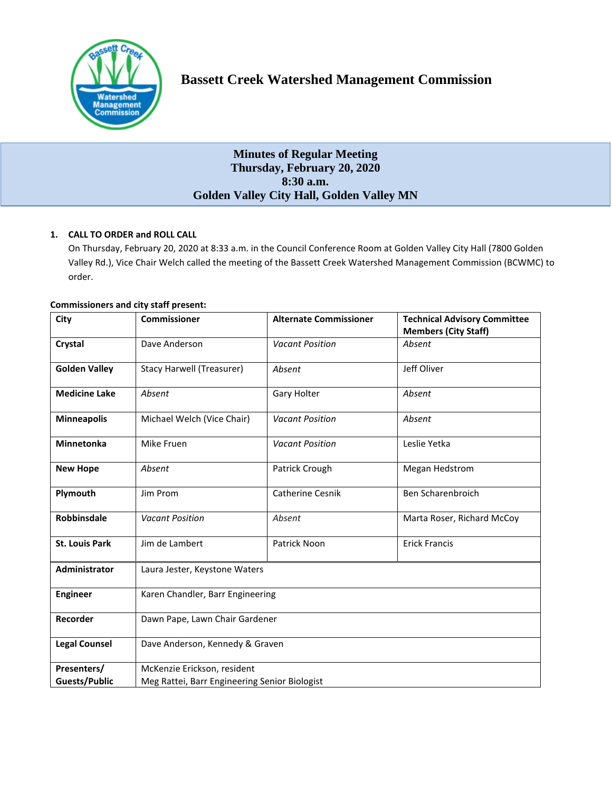

# **Minutes of Regular Meeting Thursday, February 20, 2020 8:30 a.m. Golden Valley City Hall, Golden Valley MN**

# **1. CALL TO ORDER and ROLL CALL**

On Thursday, February 20, 2020 at 8:33 a.m. in the Council Conference Room at Golden Valley City Hall (7800 Golden Valley Rd.), Vice Chair Welch called the meeting of the Bassett Creek Watershed Management Commission (BCWMC) to order.

| <b>Commissioners and city staff present:</b> |  |  |  |  |
|----------------------------------------------|--|--|--|--|
|----------------------------------------------|--|--|--|--|

| City                  | <b>Commissioner</b>                           | <b>Alternate Commissioner</b> | <b>Technical Advisory Committee</b><br><b>Members (City Staff)</b> |  |  |
|-----------------------|-----------------------------------------------|-------------------------------|--------------------------------------------------------------------|--|--|
| Crystal               | Dave Anderson                                 | <b>Vacant Position</b>        | Absent                                                             |  |  |
| <b>Golden Valley</b>  | <b>Stacy Harwell (Treasurer)</b>              | Absent                        | Jeff Oliver                                                        |  |  |
| <b>Medicine Lake</b>  | Absent                                        | Gary Holter                   | Absent                                                             |  |  |
| <b>Minneapolis</b>    | Michael Welch (Vice Chair)                    | <b>Vacant Position</b>        | Absent                                                             |  |  |
| <b>Minnetonka</b>     | Mike Fruen                                    | <b>Vacant Position</b>        | Leslie Yetka                                                       |  |  |
| <b>New Hope</b>       | Absent                                        | Patrick Crough                | Megan Hedstrom                                                     |  |  |
| Plymouth              | Jim Prom                                      | <b>Catherine Cesnik</b>       | Ben Scharenbroich                                                  |  |  |
| <b>Robbinsdale</b>    | <b>Vacant Position</b>                        | Absent                        | Marta Roser, Richard McCoy                                         |  |  |
| <b>St. Louis Park</b> | Jim de Lambert                                | Patrick Noon                  | <b>Erick Francis</b>                                               |  |  |
| <b>Administrator</b>  | Laura Jester, Keystone Waters                 |                               |                                                                    |  |  |
| <b>Engineer</b>       | Karen Chandler, Barr Engineering              |                               |                                                                    |  |  |
| Recorder              | Dawn Pape, Lawn Chair Gardener                |                               |                                                                    |  |  |
| <b>Legal Counsel</b>  | Dave Anderson, Kennedy & Graven               |                               |                                                                    |  |  |
| Presenters/           | McKenzie Erickson, resident                   |                               |                                                                    |  |  |
| <b>Guests/Public</b>  | Meg Rattei, Barr Engineering Senior Biologist |                               |                                                                    |  |  |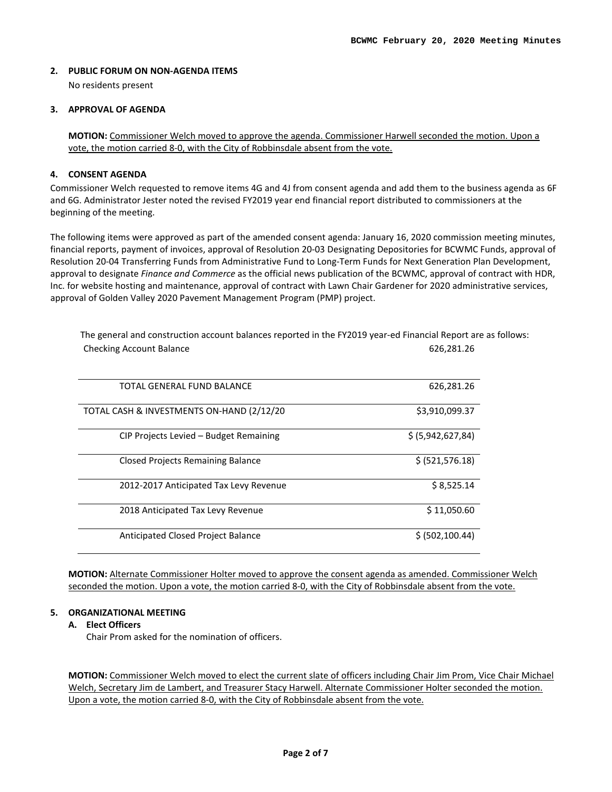# **2. PUBLIC FORUM ON NON-AGENDA ITEMS**

No residents present

# **3. APPROVAL OF AGENDA**

**MOTION:** Commissioner Welch moved to approve the agenda. Commissioner Harwell seconded the motion. Upon a vote, the motion carried 8-0, with the City of Robbinsdale absent from the vote.

# **4. CONSENT AGENDA**

Commissioner Welch requested to remove items 4G and 4J from consent agenda and add them to the business agenda as 6F and 6G. Administrator Jester noted the revised FY2019 year end financial report distributed to commissioners at the beginning of the meeting.

The following items were approved as part of the amended consent agenda: January 16, 2020 commission meeting minutes, financial reports, payment of invoices, approval of Resolution 20-03 Designating Depositories for BCWMC Funds, approval of Resolution 20-04 Transferring Funds from Administrative Fund to Long-Term Funds for Next Generation Plan Development, approval to designate *Finance and Commerce* as the official news publication of the BCWMC, approval of contract with HDR, Inc. for website hosting and maintenance, approval of contract with Lawn Chair Gardener for 2020 administrative services, approval of Golden Valley 2020 Pavement Management Program (PMP) project.

| TOTAL GENERAL FUND BALANCE                 | 626,281.26        |
|--------------------------------------------|-------------------|
| TOTAL CASH & INVESTMENTS ON-HAND (2/12/20) | \$3,910,099.37    |
| CIP Projects Levied – Budget Remaining     | \$ (5,942,627,84) |
| Closed Projects Remaining Balance          | \$ (521, 576.18)  |
| 2012-2017 Anticipated Tax Levy Revenue     | \$8,525.14        |
| 2018 Anticipated Tax Levy Revenue          | \$11,050.60       |
| Anticipated Closed Project Balance         | \$ (502, 100.44)  |

The general and construction account balances reported in the FY2019 year-ed Financial Report are as follows: Checking Account Balance **626,281.26** Checking Account Balance

**MOTION:** Alternate Commissioner Holter moved to approve the consent agenda as amended. Commissioner Welch seconded the motion. Upon a vote, the motion carried 8-0, with the City of Robbinsdale absent from the vote.

### **5. ORGANIZATIONAL MEETING**

# **A. Elect Officers**

Chair Prom asked for the nomination of officers.

**MOTION:** Commissioner Welch moved to elect the current slate of officers including Chair Jim Prom, Vice Chair Michael Welch, Secretary Jim de Lambert, and Treasurer Stacy Harwell. Alternate Commissioner Holter seconded the motion. Upon a vote, the motion carried 8-0, with the City of Robbinsdale absent from the vote.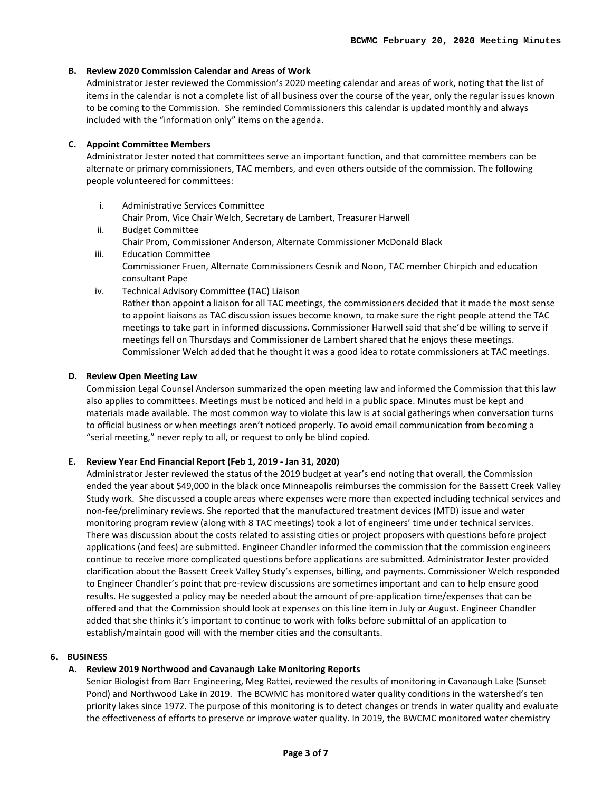# **B. Review 2020 Commission Calendar and Areas of Work**

Administrator Jester reviewed the Commission's 2020 meeting calendar and areas of work, noting that the list of items in the calendar is not a complete list of all business over the course of the year, only the regular issues known to be coming to the Commission. She reminded Commissioners this calendar is updated monthly and always included with the "information only" items on the agenda.

### **C. Appoint Committee Members**

Administrator Jester noted that committees serve an important function, and that committee members can be alternate or primary commissioners, TAC members, and even others outside of the commission. The following people volunteered for committees:

- i. Administrative Services Committee Chair Prom, Vice Chair Welch, Secretary de Lambert, Treasurer Harwell
- ii. Budget Committee Chair Prom, Commissioner Anderson, Alternate Commissioner McDonald Black
- iii. Education Committee Commissioner Fruen, Alternate Commissioners Cesnik and Noon, TAC member Chirpich and education consultant Pape
- iv. Technical Advisory Committee (TAC) Liaison Rather than appoint a liaison for all TAC meetings, the commissioners decided that it made the most sense to appoint liaisons as TAC discussion issues become known, to make sure the right people attend the TAC meetings to take part in informed discussions. Commissioner Harwell said that she'd be willing to serve if meetings fell on Thursdays and Commissioner de Lambert shared that he enjoys these meetings. Commissioner Welch added that he thought it was a good idea to rotate commissioners at TAC meetings.

### **D. Review Open Meeting Law**

Commission Legal Counsel Anderson summarized the open meeting law and informed the Commission that this law also applies to committees. Meetings must be noticed and held in a public space. Minutes must be kept and materials made available. The most common way to violate this law is at social gatherings when conversation turns to official business or when meetings aren't noticed properly. To avoid email communication from becoming a "serial meeting," never reply to all, or request to only be blind copied.

# **E. Review Year End Financial Report (Feb 1, 2019 - Jan 31, 2020)**

Administrator Jester reviewed the status of the 2019 budget at year's end noting that overall, the Commission ended the year about \$49,000 in the black once Minneapolis reimburses the commission for the Bassett Creek Valley Study work. She discussed a couple areas where expenses were more than expected including technical services and non-fee/preliminary reviews. She reported that the manufactured treatment devices (MTD) issue and water monitoring program review (along with 8 TAC meetings) took a lot of engineers' time under technical services. There was discussion about the costs related to assisting cities or project proposers with questions before project applications (and fees) are submitted. Engineer Chandler informed the commission that the commission engineers continue to receive more complicated questions before applications are submitted. Administrator Jester provided clarification about the Bassett Creek Valley Study's expenses, billing, and payments. Commissioner Welch responded to Engineer Chandler's point that pre-review discussions are sometimes important and can to help ensure good results. He suggested a policy may be needed about the amount of pre-application time/expenses that can be offered and that the Commission should look at expenses on this line item in July or August. Engineer Chandler added that she thinks it's important to continue to work with folks before submittal of an application to establish/maintain good will with the member cities and the consultants.

### **6. BUSINESS**

### **A. Review 2019 Northwood and Cavanaugh Lake Monitoring Reports**

Senior Biologist from Barr Engineering, Meg Rattei, reviewed the results of monitoring in Cavanaugh Lake (Sunset Pond) and Northwood Lake in 2019. The BCWMC has monitored water quality conditions in the watershed's ten priority lakes since 1972. The purpose of this monitoring is to detect changes or trends in water quality and evaluate the effectiveness of efforts to preserve or improve water quality. In 2019, the BWCMC monitored water chemistry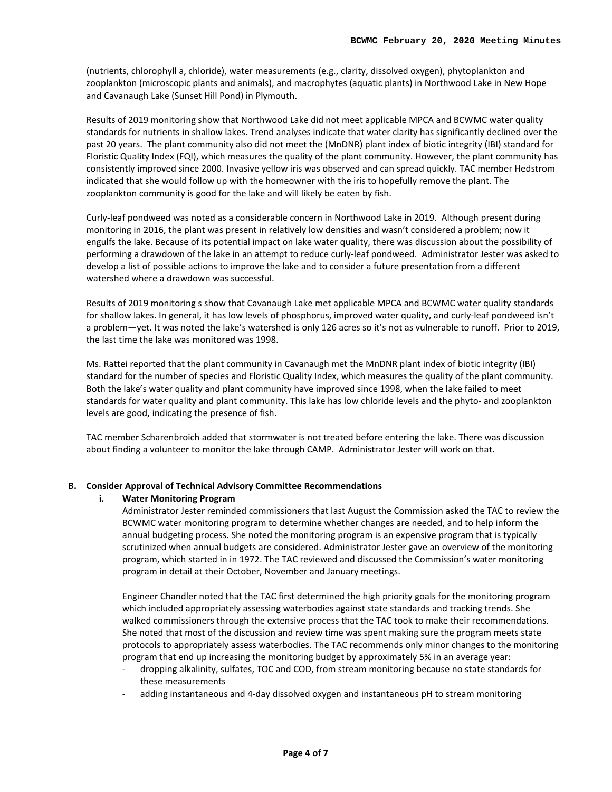(nutrients, chlorophyll a, chloride), water measurements (e.g., clarity, dissolved oxygen), phytoplankton and zooplankton (microscopic plants and animals), and macrophytes (aquatic plants) in Northwood Lake in New Hope and Cavanaugh Lake (Sunset Hill Pond) in Plymouth.

Results of 2019 monitoring show that Northwood Lake did not meet applicable MPCA and BCWMC water quality standards for nutrients in shallow lakes. Trend analyses indicate that water clarity has significantly declined over the past 20 years. The plant community also did not meet the (MnDNR) plant index of biotic integrity (IBI) standard for Floristic Quality Index (FQI), which measures the quality of the plant community. However, the plant community has consistently improved since 2000. Invasive yellow iris was observed and can spread quickly. TAC member Hedstrom indicated that she would follow up with the homeowner with the iris to hopefully remove the plant. The zooplankton community is good for the lake and will likely be eaten by fish.

Curly-leaf pondweed was noted as a considerable concern in Northwood Lake in 2019. Although present during monitoring in 2016, the plant was present in relatively low densities and wasn't considered a problem; now it engulfs the lake. Because of its potential impact on lake water quality, there was discussion about the possibility of performing a drawdown of the lake in an attempt to reduce curly-leaf pondweed. Administrator Jester was asked to develop a list of possible actions to improve the lake and to consider a future presentation from a different watershed where a drawdown was successful.

Results of 2019 monitoring s show that Cavanaugh Lake met applicable MPCA and BCWMC water quality standards for shallow lakes. In general, it has low levels of phosphorus, improved water quality, and curly-leaf pondweed isn't a problem—yet. It was noted the lake's watershed is only 126 acres so it's not as vulnerable to runoff. Prior to 2019, the last time the lake was monitored was 1998.

Ms. Rattei reported that the plant community in Cavanaugh met the MnDNR plant index of biotic integrity (IBI) standard for the number of species and Floristic Quality Index, which measures the quality of the plant community. Both the lake's water quality and plant community have improved since 1998, when the lake failed to meet standards for water quality and plant community. This lake has low chloride levels and the phyto- and zooplankton levels are good, indicating the presence of fish.

TAC member Scharenbroich added that stormwater is not treated before entering the lake. There was discussion about finding a volunteer to monitor the lake through CAMP. Administrator Jester will work on that.

# **B. Consider Approval of Technical Advisory Committee Recommendations**

# **i. Water Monitoring Program**

Administrator Jester reminded commissioners that last August the Commission asked the TAC to review the BCWMC water monitoring program to determine whether changes are needed, and to help inform the annual budgeting process. She noted the monitoring program is an expensive program that is typically scrutinized when annual budgets are considered. Administrator Jester gave an overview of the monitoring program, which started in in 1972. The TAC reviewed and discussed the Commission's water monitoring program in detail at their October, November and January meetings.

Engineer Chandler noted that the TAC first determined the high priority goals for the monitoring program which included appropriately assessing waterbodies against state standards and tracking trends. She walked commissioners through the extensive process that the TAC took to make their recommendations. She noted that most of the discussion and review time was spent making sure the program meets state protocols to appropriately assess waterbodies. The TAC recommends only minor changes to the monitoring program that end up increasing the monitoring budget by approximately 5% in an average year:

- dropping alkalinity, sulfates, TOC and COD, from stream monitoring because no state standards for these measurements
- adding instantaneous and 4-day dissolved oxygen and instantaneous pH to stream monitoring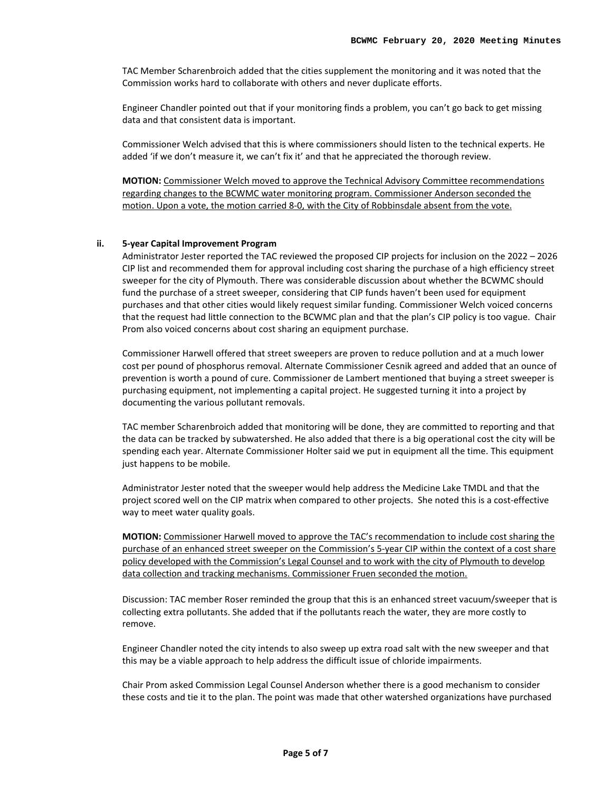TAC Member Scharenbroich added that the cities supplement the monitoring and it was noted that the Commission works hard to collaborate with others and never duplicate efforts.

Engineer Chandler pointed out that if your monitoring finds a problem, you can't go back to get missing data and that consistent data is important.

Commissioner Welch advised that this is where commissioners should listen to the technical experts. He added 'if we don't measure it, we can't fix it' and that he appreciated the thorough review.

**MOTION:** Commissioner Welch moved to approve the Technical Advisory Committee recommendations regarding changes to the BCWMC water monitoring program. Commissioner Anderson seconded the motion. Upon a vote, the motion carried 8-0, with the City of Robbinsdale absent from the vote.

#### **ii. 5-year Capital Improvement Program**

Administrator Jester reported the TAC reviewed the proposed CIP projects for inclusion on the 2022 – 2026 CIP list and recommended them for approval including cost sharing the purchase of a high efficiency street sweeper for the city of Plymouth. There was considerable discussion about whether the BCWMC should fund the purchase of a street sweeper, considering that CIP funds haven't been used for equipment purchases and that other cities would likely request similar funding. Commissioner Welch voiced concerns that the request had little connection to the BCWMC plan and that the plan's CIP policy is too vague. Chair Prom also voiced concerns about cost sharing an equipment purchase.

Commissioner Harwell offered that street sweepers are proven to reduce pollution and at a much lower cost per pound of phosphorus removal. Alternate Commissioner Cesnik agreed and added that an ounce of prevention is worth a pound of cure. Commissioner de Lambert mentioned that buying a street sweeper is purchasing equipment, not implementing a capital project. He suggested turning it into a project by documenting the various pollutant removals.

TAC member Scharenbroich added that monitoring will be done, they are committed to reporting and that the data can be tracked by subwatershed. He also added that there is a big operational cost the city will be spending each year. Alternate Commissioner Holter said we put in equipment all the time. This equipment just happens to be mobile.

Administrator Jester noted that the sweeper would help address the Medicine Lake TMDL and that the project scored well on the CIP matrix when compared to other projects. She noted this is a cost-effective way to meet water quality goals.

**MOTION:** Commissioner Harwell moved to approve the TAC's recommendation to include cost sharing the purchase of an enhanced street sweeper on the Commission's 5-year CIP within the context of a cost share policy developed with the Commission's Legal Counsel and to work with the city of Plymouth to develop data collection and tracking mechanisms. Commissioner Fruen seconded the motion.

Discussion: TAC member Roser reminded the group that this is an enhanced street vacuum/sweeper that is collecting extra pollutants. She added that if the pollutants reach the water, they are more costly to remove.

Engineer Chandler noted the city intends to also sweep up extra road salt with the new sweeper and that this may be a viable approach to help address the difficult issue of chloride impairments.

Chair Prom asked Commission Legal Counsel Anderson whether there is a good mechanism to consider these costs and tie it to the plan. The point was made that other watershed organizations have purchased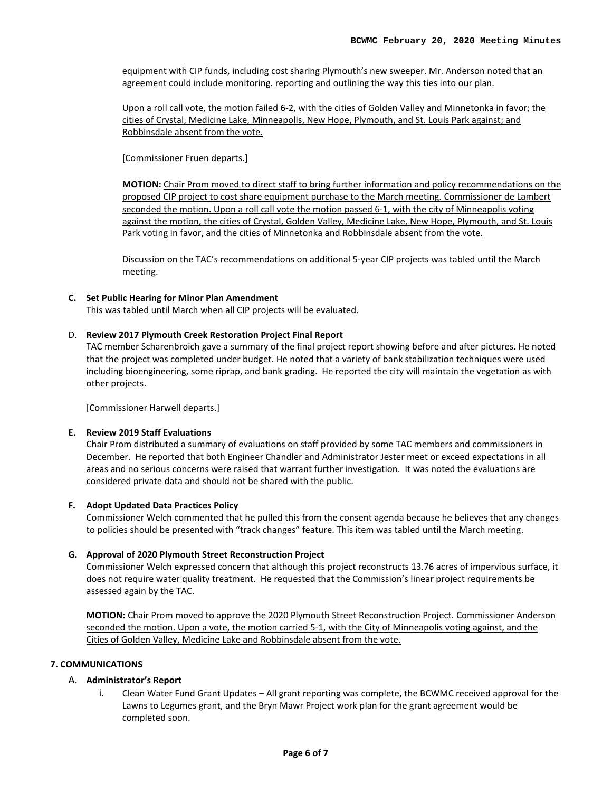equipment with CIP funds, including cost sharing Plymouth's new sweeper. Mr. Anderson noted that an agreement could include monitoring. reporting and outlining the way this ties into our plan.

Upon a roll call vote, the motion failed 6-2, with the cities of Golden Valley and Minnetonka in favor; the cities of Crystal, Medicine Lake, Minneapolis, New Hope, Plymouth, and St. Louis Park against; and Robbinsdale absent from the vote.

[Commissioner Fruen departs.]

**MOTION:** Chair Prom moved to direct staff to bring further information and policy recommendations on the proposed CIP project to cost share equipment purchase to the March meeting. Commissioner de Lambert seconded the motion. Upon a roll call vote the motion passed 6-1, with the city of Minneapolis voting against the motion, the cities of Crystal, Golden Valley, Medicine Lake, New Hope, Plymouth, and St. Louis Park voting in favor, and the cities of Minnetonka and Robbinsdale absent from the vote.

Discussion on the TAC's recommendations on additional 5-year CIP projects was tabled until the March meeting.

### **C. Set Public Hearing for Minor Plan Amendment**

This was tabled until March when all CIP projects will be evaluated.

# D. **Review 2017 Plymouth Creek Restoration Project Final Report**

TAC member Scharenbroich gave a summary of the final project report showing before and after pictures. He noted that the project was completed under budget. He noted that a variety of bank stabilization techniques were used including bioengineering, some riprap, and bank grading. He reported the city will maintain the vegetation as with other projects.

[Commissioner Harwell departs.]

### **E. Review 2019 Staff Evaluations**

Chair Prom distributed a summary of evaluations on staff provided by some TAC members and commissioners in December. He reported that both Engineer Chandler and Administrator Jester meet or exceed expectations in all areas and no serious concerns were raised that warrant further investigation. It was noted the evaluations are considered private data and should not be shared with the public.

### **F. Adopt Updated Data Practices Policy**

Commissioner Welch commented that he pulled this from the consent agenda because he believes that any changes to policies should be presented with "track changes" feature. This item was tabled until the March meeting.

### **G. Approval of 2020 Plymouth Street Reconstruction Project**

Commissioner Welch expressed concern that although this project reconstructs 13.76 acres of impervious surface, it does not require water quality treatment. He requested that the Commission's linear project requirements be assessed again by the TAC.

**MOTION:** Chair Prom moved to approve the 2020 Plymouth Street Reconstruction Project. Commissioner Anderson seconded the motion. Upon a vote, the motion carried 5-1, with the City of Minneapolis voting against, and the Cities of Golden Valley, Medicine Lake and Robbinsdale absent from the vote.

# **7. COMMUNICATIONS**

# A. **Administrator's Report**

i. Clean Water Fund Grant Updates – All grant reporting was complete, the BCWMC received approval for the Lawns to Legumes grant, and the Bryn Mawr Project work plan for the grant agreement would be completed soon.